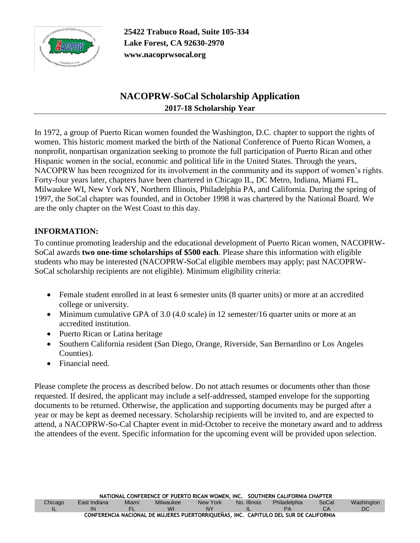

**25422 Trabuco Road, Suite 105-334 Lake Forest, CA 92630-2970 www.nacoprwsocal.org**

# **NACOPRW-SoCal Scholarship Application 2017-18 Scholarship Year**

In 1972, a group of Puerto Rican women founded the Washington, D.C. chapter to support the rights of women. This historic moment marked the birth of the National Conference of Puerto Rican Women, a nonprofit, nonpartisan organization seeking to promote the full participation of Puerto Rican and other Hispanic women in the social, economic and political life in the United States. Through the years, NACOPRW has been recognized for its involvement in the community and its support of women's rights. Forty-four years later, chapters have been chartered in Chicago IL, DC Metro, Indiana, Miami FL, Milwaukee WI, New York NY, Northern Illinois, Philadelphia PA, and California. During the spring of 1997, the SoCal chapter was founded, and in October 1998 it was chartered by the National Board. We are the only chapter on the West Coast to this day.

### **INFORMATION:**

To continue promoting leadership and the educational development of Puerto Rican women, NACOPRW-SoCal awards **two one-time scholarships of \$500 each**. Please share this information with eligible students who may be interested (NACOPRW-SoCal eligible members may apply; past NACOPRW-SoCal scholarship recipients are not eligible). Minimum eligibility criteria:

- Female student enrolled in at least 6 semester units (8 quarter units) or more at an accredited college or university.
- Minimum cumulative GPA of 3.0 (4.0 scale) in 12 semester/16 quarter units or more at an accredited institution.
- Puerto Rican or Latina heritage
- Southern California resident (San Diego, Orange, Riverside, San Bernardino or Los Angeles Counties).
- Financial need.

Please complete the process as described below. Do not attach resumes or documents other than those requested. If desired, the applicant may include a self-addressed, stamped envelope for the supporting documents to be returned. Otherwise, the application and supporting documents may be purged after a year or may be kept as deemed necessary. Scholarship recipients will be invited to, and are expected to attend, a NACOPRW-So-Cal Chapter event in mid-October to receive the monetary award and to address the attendees of the event. Specific information for the upcoming event will be provided upon selection.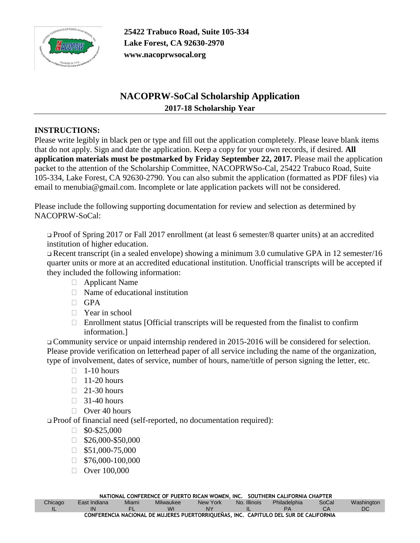

**25422 Trabuco Road, Suite 105-334 Lake Forest, CA 92630-2970 www.nacoprwsocal.org**

## **NACOPRW-SoCal Scholarship Application 2017-18 Scholarship Year**

#### **INSTRUCTIONS:**

Please write legibly in black pen or type and fill out the application completely. Please leave blank items that do not apply. Sign and date the application. Keep a copy for your own records, if desired. **All application materials must be postmarked by Friday September 22, 2017.** Please mail the application packet to the attention of the Scholarship Committee, NACOPRWSo-Cal, 25422 Trabuco Road, Suite 105-334, Lake Forest, CA 92630-2790. You can also submit the application (formatted as PDF files) via email to menubia@gmail.com. Incomplete or late application packets will not be considered.

Please include the following supporting documentation for review and selection as determined by NACOPRW-SoCal:

❑ Proof of Spring 2017 or Fall 2017 enrollment (at least 6 semester/8 quarter units) at an accredited institution of higher education.

❑ Recent transcript (in a sealed envelope) showing a minimum 3.0 cumulative GPA in 12 semester/16 quarter units or more at an accredited educational institution. Unofficial transcripts will be accepted if they included the following information:

- Applicant Name
- $\Box$  Name of educational institution
- $\Box$  GPA
- □ Year in school
- $\Box$  Enrollment status [Official transcripts will be requested from the finalist to confirm information.]

❑ Community service or unpaid internship rendered in 2015-2016 will be considered for selection. Please provide verification on letterhead paper of all service including the name of the organization, type of involvement, dates of service, number of hours, name/title of person signing the letter, etc.

- $\Box$  1-10 hours
- $\Box$  11-20 hours
- $\Box$  21-30 hours
- $\Box$  31-40 hours
- $\Box$  Over 40 hours

❑ Proof of financial need (self-reported, no documentation required):

- $\Box$  \$0-\$25,000
- $\Box$  \$26,000-\$50,000
- $\Box$  \$51,000-75,000
- $\Box$  \$76,000-100,000
- $\Box$  Over 100,000